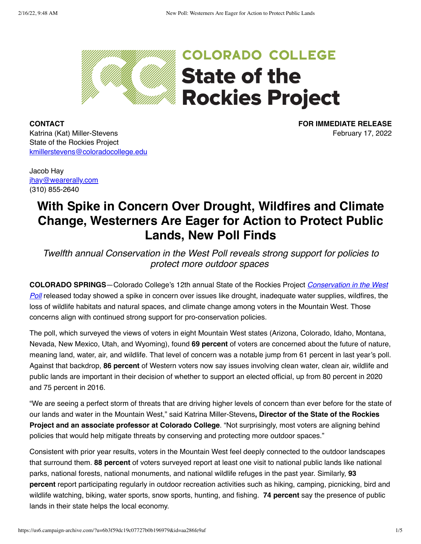

**COLORADO COLLEGE State of the Rockies Project** 

**CONTACT** Katrina (Kat) Miller-Stevens State of the Rockies Project [kmillerstevens@coloradocollege.edu](mailto:kmillerstevens@coloradocollege.edu) **FOR IMMEDIATE RELEASE** February 17, 2022

Jacob Hay [jhay@wearerally.com](mailto:jhay@wearerally.com) (310) 855-2640

# **With Spike in Concern Over Drought, Wildfires and Climate Change, Westerners Are Eager for Action to Protect Public Lands, New Poll Finds**

*Twelfth annual Conservation in the West Poll reveals strong support for policies to protect more outdoor spaces* 

**COLORADO SPRINGS**—Colorado College's 12th annual State of the Rockies Project *Conservation in the West Poll* [released today showed a spike in concern over issues like drought, inadequate water supplies, wildfires, the](https://www.coloradocollege.edu/other/stateoftherockies/conservationinthewest/2021/) loss of wildlife habitats and natural spaces, and climate change among voters in the Mountain West. Those concerns align with continued strong support for pro-conservation policies.

The poll, which surveyed the views of voters in eight Mountain West states (Arizona, Colorado, Idaho, Montana, Nevada, New Mexico, Utah, and Wyoming), found **69 percent** of voters are concerned about the future of nature, meaning land, water, air, and wildlife. That level of concern was a notable jump from 61 percent in last year's poll. Against that backdrop, **86 percent** of Western voters now say issues involving clean water, clean air, wildlife and public lands are important in their decision of whether to support an elected official, up from 80 percent in 2020 and 75 percent in 2016.

"We are seeing a perfect storm of threats that are driving higher levels of concern than ever before for the state of our lands and water in the Mountain West," said Katrina Miller-Stevens**, Director of the State of the Rockies Project and an associate professor at Colorado College**. "Not surprisingly, most voters are aligning behind policies that would help mitigate threats by conserving and protecting more outdoor spaces."

Consistent with prior year results, voters in the Mountain West feel deeply connected to the outdoor landscapes that surround them. **88 percent** of voters surveyed report at least one visit to national public lands like national parks, national forests, national monuments, and national wildlife refuges in the past year. Similarly, **93 percent** report participating regularly in outdoor recreation activities such as hiking, camping, picnicking, bird and wildlife watching, biking, water sports, snow sports, hunting, and fishing. **74 percent** say the presence of public lands in their state helps the local economy.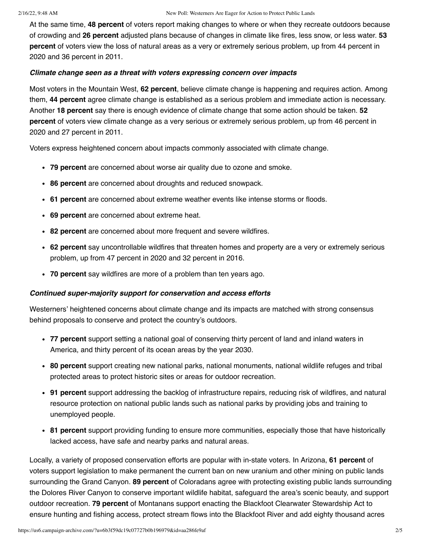At the same time, **48 percent** of voters report making changes to where or when they recreate outdoors because of crowding and **26 percent** adjusted plans because of changes in climate like fires, less snow, or less water. **53 percent** of voters view the loss of natural areas as a very or extremely serious problem, up from 44 percent in 2020 and 36 percent in 2011.

#### *Climate change seen as a threat with voters expressing concern over impacts*

Most voters in the Mountain West, **62 percent**, believe climate change is happening and requires action. Among them, **44 percent** agree climate change is established as a serious problem and immediate action is necessary. Another **18 percent** say there is enough evidence of climate change that some action should be taken. **52 percent** of voters view climate change as a very serious or extremely serious problem, up from 46 percent in 2020 and 27 percent in 2011.

Voters express heightened concern about impacts commonly associated with climate change.

- **79 percent** are concerned about worse air quality due to ozone and smoke.
- **86 percent** are concerned about droughts and reduced snowpack.
- **61 percent** are concerned about extreme weather events like intense storms or floods.
- **69 percent** are concerned about extreme heat.
- **82 percent** are concerned about more frequent and severe wildfires.
- **62 percent** say uncontrollable wildfires that threaten homes and property are a very or extremely serious problem, up from 47 percent in 2020 and 32 percent in 2016.
- **70 percent** say wildfires are more of a problem than ten years ago.

#### *Continued super-majority support for conservation and access efforts*

Westerners' heightened concerns about climate change and its impacts are matched with strong consensus behind proposals to conserve and protect the country's outdoors.

- **77 percent** support setting a national goal of conserving thirty percent of land and inland waters in America, and thirty percent of its ocean areas by the year 2030.
- **80 percent** support creating new national parks, national monuments, national wildlife refuges and tribal protected areas to protect historic sites or areas for outdoor recreation.
- **91 percent** support addressing the backlog of infrastructure repairs, reducing risk of wildfires, and natural resource protection on national public lands such as national parks by providing jobs and training to unemployed people.
- **81 percent** support providing funding to ensure more communities, especially those that have historically lacked access, have safe and nearby parks and natural areas.

Locally, a variety of proposed conservation efforts are popular with in-state voters. In Arizona, **61 percent** of voters support legislation to make permanent the current ban on new uranium and other mining on public lands surrounding the Grand Canyon. **89 percent** of Coloradans agree with protecting existing public lands surrounding the Dolores River Canyon to conserve important wildlife habitat, safeguard the area's scenic beauty, and support outdoor recreation. **79 percent** of Montanans support enacting the Blackfoot Clearwater Stewardship Act to ensure hunting and fishing access, protect stream flows into the Blackfoot River and add eighty thousand acres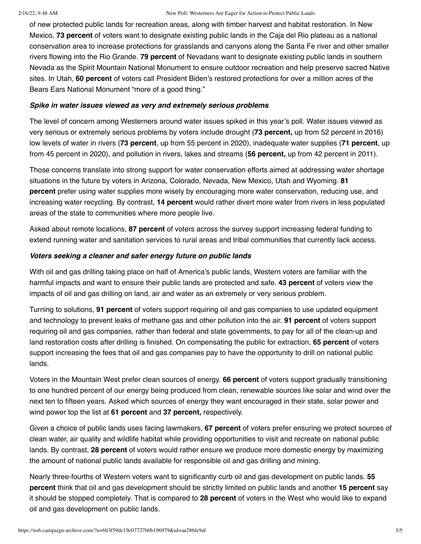#### 2/16/22, 9:48 AM New Poll: Westerners Are Eager for Action to Protect Public Lands

of new protected public lands for recreation areas, along with timber harvest and habitat restoration. In New Mexico, **73 percent** of voters want to designate existing public lands in the Caja del Rio plateau as a national conservation area to increase protections for grasslands and canyons along the Santa Fe river and other smaller rivers flowing into the Rio Grande. **79 percent** of Nevadans want to designate existing public lands in southern Nevada as the Spirit Mountain National Monument to ensure outdoor recreation and help preserve sacred Native sites. In Utah, **60 percent** of voters call President Biden's restored protections for over a million acres of the Bears Ears National Monument "more of a good thing."

#### *Spike in water issues viewed as very and extremely serious problems*

The level of concern among Westerners around water issues spiked in this year's poll. Water issues viewed as very serious or extremely serious problems by voters include drought (**73 percent,** up from 52 percent in 2016) low levels of water in rivers (**73 percent**, up from 55 percent in 2020), inadequate water supplies (**71 percent**, up from 45 percent in 2020), and pollution in rivers, lakes and streams (**56 percent,** up from 42 percent in 2011).

Those concerns translate into strong support for water conservation efforts aimed at addressing water shortage situations in the future by voters in Arizona, Colorado, Nevada, New Mexico, Utah and Wyoming. **81 percent** prefer using water supplies more wisely by encouraging more water conservation, reducing use, and increasing water recycling. By contrast, **14 percent** would rather divert more water from rivers in less populated areas of the state to communities where more people live.

Asked about remote locations, **87 percent** of voters across the survey support increasing federal funding to extend running water and sanitation services to rural areas and tribal communities that currently lack access.

## *Voters seeking a cleaner and safer energy future on public lands*

With oil and gas drilling taking place on half of America's public lands, Western voters are familiar with the harmful impacts and want to ensure their public lands are protected and safe. **43 percent** of voters view the impacts of oil and gas drilling on land, air and water as an extremely or very serious problem.

Turning to solutions, **91 percent** of voters support requiring oil and gas companies to use updated equipment and technology to prevent leaks of methane gas and other pollution into the air. **91 percent** of voters support requiring oil and gas companies, rather than federal and state governments, to pay for all of the clean-up and land restoration costs after drilling is finished. On compensating the public for extraction, **65 percent** of voters support increasing the fees that oil and gas companies pay to have the opportunity to drill on national public lands.

Voters in the Mountain West prefer clean sources of energy. **66 percent** of voters support gradually transitioning to one hundred percent of our energy being produced from clean, renewable sources like solar and wind over the next ten to fifteen years. Asked which sources of energy they want encouraged in their state, solar power and wind power top the list at **61 percent** and **37 percent,** respectively.

Given a choice of public lands uses facing lawmakers, **67 percent** of voters prefer ensuring we protect sources of clean water, air quality and wildlife habitat while providing opportunities to visit and recreate on national public lands. By contrast, **28 percent** of voters would rather ensure we produce more domestic energy by maximizing the amount of national public lands available for responsible oil and gas drilling and mining.

Nearly three-fourths of Western voters want to significantly curb oil and gas development on public lands. **55 percent** think that oil and gas development should be strictly limited on public lands and another **15 percent** say it should be stopped completely. That is compared to **28 percent** of voters in the West who would like to expand oil and gas development on public lands.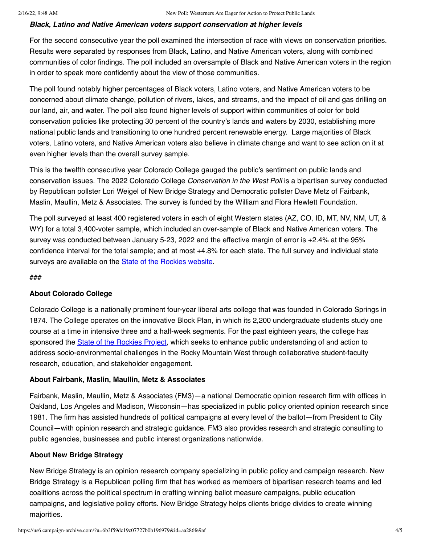## *Black, Latino and Native American voters support conservation at higher levels*

For the second consecutive year the poll examined the intersection of race with views on conservation priorities. Results were separated by responses from Black, Latino, and Native American voters, along with combined communities of color findings. The poll included an oversample of Black and Native American voters in the region in order to speak more confidently about the view of those communities.

The poll found notably higher percentages of Black voters, Latino voters, and Native American voters to be concerned about climate change, pollution of rivers, lakes, and streams, and the impact of oil and gas drilling on our land, air, and water. The poll also found higher levels of support within communities of color for bold conservation policies like protecting 30 percent of the country's lands and waters by 2030, establishing more national public lands and transitioning to one hundred percent renewable energy. Large majorities of Black voters, Latino voters, and Native American voters also believe in climate change and want to see action on it at even higher levels than the overall survey sample.

This is the twelfth consecutive year Colorado College gauged the public's sentiment on public lands and conservation issues. The 2022 Colorado College *Conservation in the West Poll* is a bipartisan survey conducted by Republican pollster Lori Weigel of New Bridge Strategy and Democratic pollster Dave Metz of Fairbank, Maslin, Maullin, Metz & Associates. The survey is funded by the William and Flora Hewlett Foundation.

The poll surveyed at least 400 registered voters in each of eight Western states (AZ, CO, ID, MT, NV, NM, UT, & WY) for a total 3,400-voter sample, which included an over-sample of Black and Native American voters. The survey was conducted between January 5-23, 2022 and the effective margin of error is +2.4% at the 95% confidence interval for the total sample; and at most +4.8% for each state. The full survey and individual state surveys are available on the **State of the Rockies website**.

###

# **About Colorado College**

Colorado College is a nationally prominent four-year liberal arts college that was founded in Colorado Springs in 1874. The College operates on the innovative Block Plan, in which its 2,200 undergraduate students study one course at a time in intensive three and a half-week segments. For the past eighteen years, the college has sponsored the [State of the Rockies Project](https://www.coloradocollege.edu/stateoftherockies/), which seeks to enhance public understanding of and action to address socio-environmental challenges in the Rocky Mountain West through collaborative student-faculty research, education, and stakeholder engagement.

# **About Fairbank, Maslin, Maullin, Metz & Associates**

Fairbank, Maslin, Maullin, Metz & Associates (FM3)—a national Democratic opinion research firm with offices in Oakland, Los Angeles and Madison, Wisconsin—has specialized in public policy oriented opinion research since 1981. The firm has assisted hundreds of political campaigns at every level of the ballot—from President to City Council—with opinion research and strategic guidance. FM3 also provides research and strategic consulting to public agencies, businesses and public interest organizations nationwide.

# **About New Bridge Strategy**

New Bridge Strategy is an opinion research company specializing in public policy and campaign research. New Bridge Strategy is a Republican polling firm that has worked as members of bipartisan research teams and led coalitions across the political spectrum in crafting winning ballot measure campaigns, public education campaigns, and legislative policy efforts. New Bridge Strategy helps clients bridge divides to create winning majorities.